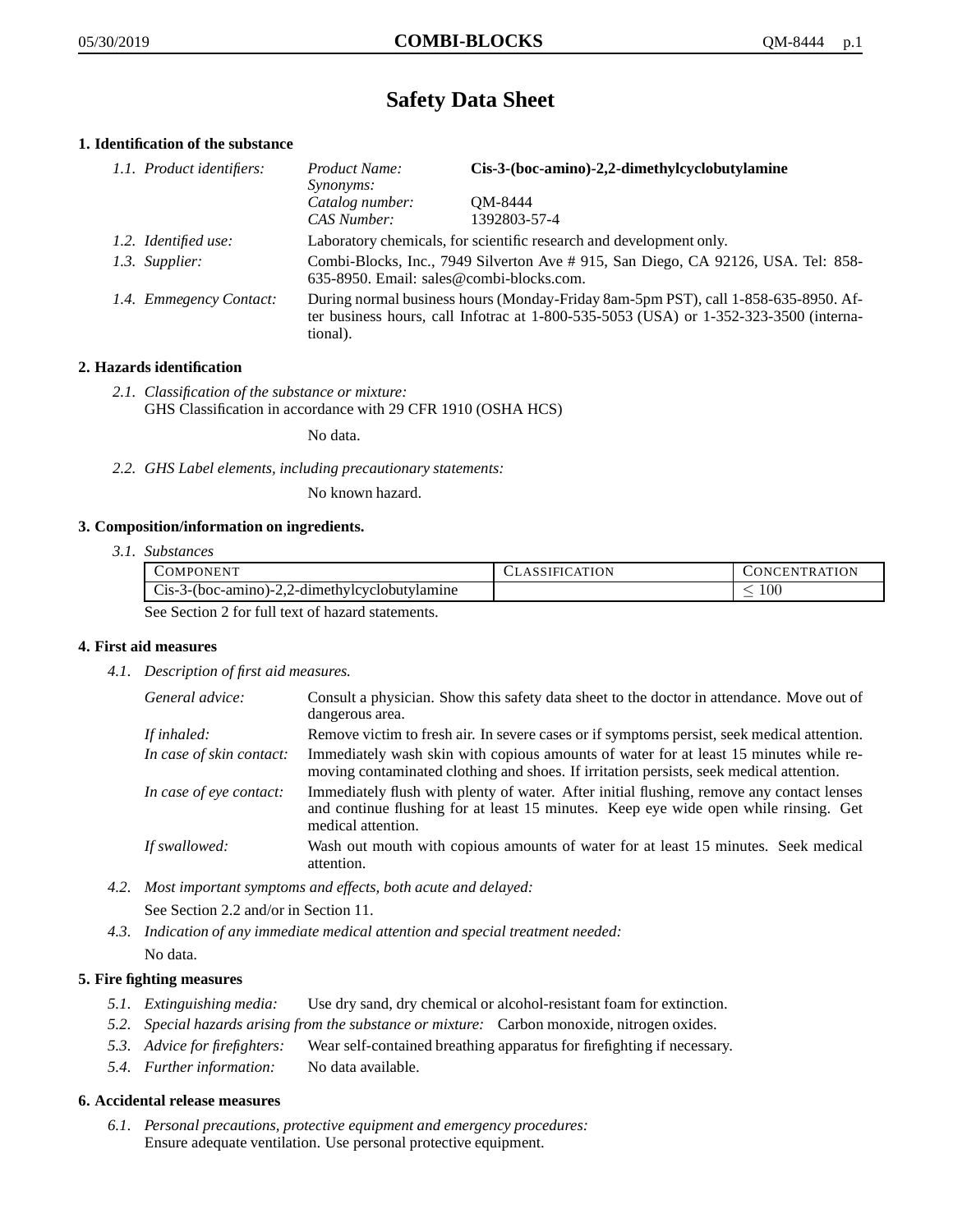# **Safety Data Sheet**

# **1. Identification of the substance**

| 1.1. Product identifiers: | Product Name:<br><i>Synonyms:</i>                                                                                                                                                       | Cis-3-(boc-amino)-2,2-dimethylcyclobutylamine |
|---------------------------|-----------------------------------------------------------------------------------------------------------------------------------------------------------------------------------------|-----------------------------------------------|
|                           | Catalog number:<br>CAS Number:                                                                                                                                                          | OM-8444<br>1392803-57-4                       |
| 1.2. Identified use:      | Laboratory chemicals, for scientific research and development only.                                                                                                                     |                                               |
| 1.3. Supplier:            | Combi-Blocks, Inc., 7949 Silverton Ave #915, San Diego, CA 92126, USA. Tel: 858-<br>635-8950. Email: sales@combi-blocks.com.                                                            |                                               |
| 1.4. Emmegency Contact:   | During normal business hours (Monday-Friday 8am-5pm PST), call 1-858-635-8950. Af-<br>ter business hours, call Infotrac at 1-800-535-5053 (USA) or 1-352-323-3500 (interna-<br>tional). |                                               |

# **2. Hazards identification**

*2.1. Classification of the substance or mixture:* GHS Classification in accordance with 29 CFR 1910 (OSHA HCS)

No data.

*2.2. GHS Label elements, including precautionary statements:*

No known hazard.

# **3. Composition/information on ingredients.**

*3.1. Substances*

|                                                  | COMPONENT                                       | CLASSIFICATION | CONCENTRATION |
|--------------------------------------------------|-------------------------------------------------|----------------|---------------|
|                                                  | $Cis-3-(boc-amino)-2,2-dimethylcyclobutylamine$ |                | $_{00}$       |
| See Section 2 for full text of hazard statements |                                                 |                |               |

See Section 2 for full text of hazard statements.

# **4. First aid measures**

*4.1. Description of first aid measures.*

| General advice:          | Consult a physician. Show this safety data sheet to the doctor in attendance. Move out of<br>dangerous area.                                                                                            |
|--------------------------|---------------------------------------------------------------------------------------------------------------------------------------------------------------------------------------------------------|
| If inhaled:              | Remove victim to fresh air. In severe cases or if symptoms persist, seek medical attention.                                                                                                             |
| In case of skin contact: | Immediately wash skin with copious amounts of water for at least 15 minutes while re-<br>moving contaminated clothing and shoes. If irritation persists, seek medical attention.                        |
| In case of eye contact:  | Immediately flush with plenty of water. After initial flushing, remove any contact lenses<br>and continue flushing for at least 15 minutes. Keep eye wide open while rinsing. Get<br>medical attention. |
| If swallowed:            | Wash out mouth with copious amounts of water for at least 15 minutes. Seek medical<br>attention.                                                                                                        |

*4.2. Most important symptoms and effects, both acute and delayed:*

See Section 2.2 and/or in Section 11.

*4.3. Indication of any immediate medical attention and special treatment needed:* No data.

# **5. Fire fighting measures**

- *5.1. Extinguishing media:* Use dry sand, dry chemical or alcohol-resistant foam for extinction.
- *5.2. Special hazards arising from the substance or mixture:* Carbon monoxide, nitrogen oxides.
- *5.3. Advice for firefighters:* Wear self-contained breathing apparatus for firefighting if necessary.
- *5.4. Further information:* No data available.

# **6. Accidental release measures**

*6.1. Personal precautions, protective equipment and emergency procedures:* Ensure adequate ventilation. Use personal protective equipment.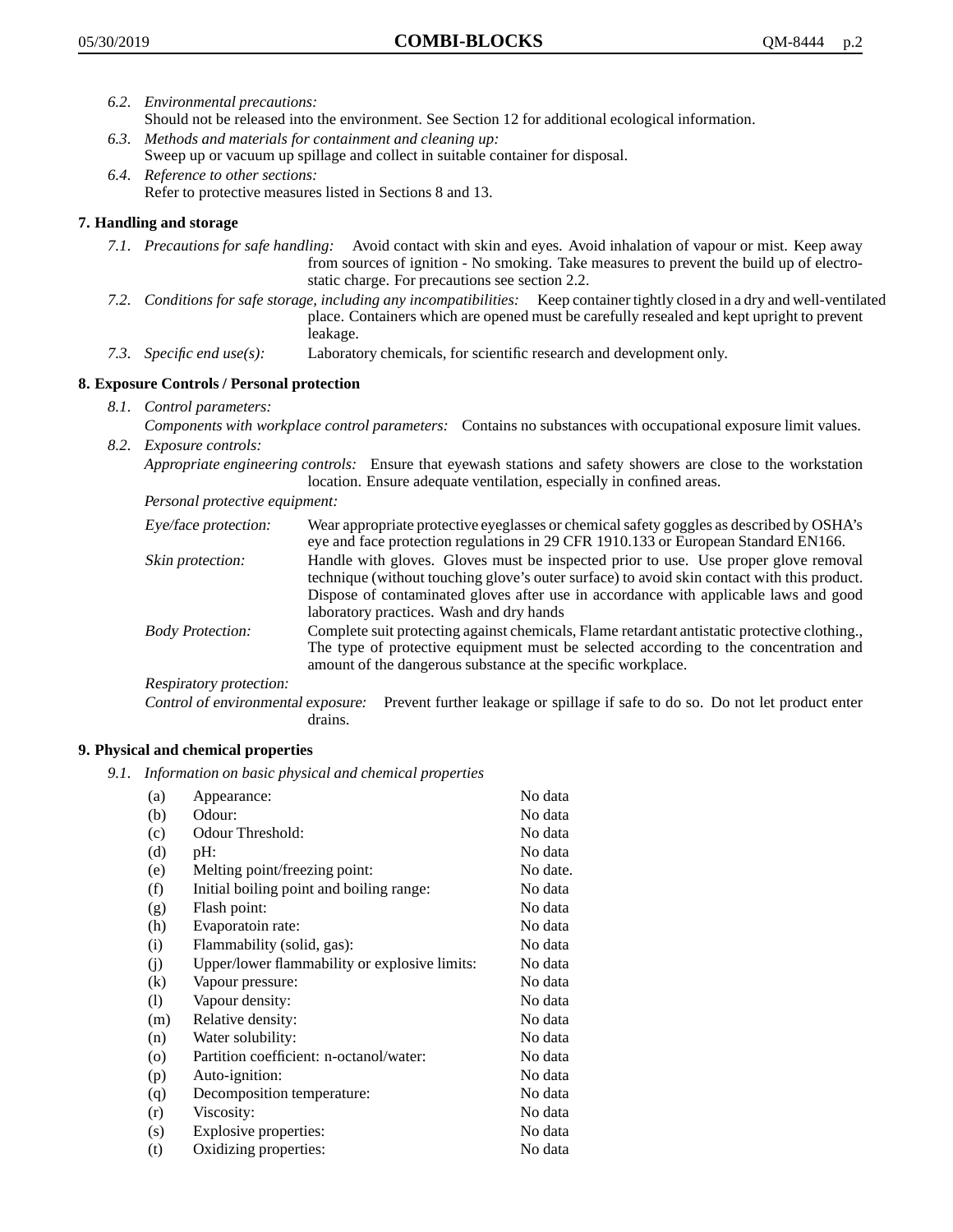- *6.2. Environmental precautions:* Should not be released into the environment. See Section 12 for additional ecological information.
- *6.3. Methods and materials for containment and cleaning up:* Sweep up or vacuum up spillage and collect in suitable container for disposal.
- *6.4. Reference to other sections:* Refer to protective measures listed in Sections 8 and 13.

# **7. Handling and storage**

- *7.1. Precautions for safe handling:* Avoid contact with skin and eyes. Avoid inhalation of vapour or mist. Keep away from sources of ignition - No smoking. Take measures to prevent the build up of electrostatic charge. For precautions see section 2.2.
- *7.2. Conditions for safe storage, including any incompatibilities:* Keep container tightly closed in a dry and well-ventilated place. Containers which are opened must be carefully resealed and kept upright to prevent leakage.
- *7.3. Specific end use(s):* Laboratory chemicals, for scientific research and development only.

# **8. Exposure Controls / Personal protection**

- *8.1. Control parameters:*
- *Components with workplace control parameters:* Contains no substances with occupational exposure limit values. *8.2. Exposure controls:*

*Appropriate engineering controls:* Ensure that eyewash stations and safety showers are close to the workstation location. Ensure adequate ventilation, especially in confined areas.

*Personal protective equipment:*

| Eye/face protection:    | Wear appropriate protective eyeglasses or chemical safety goggles as described by OSHA's<br>eye and face protection regulations in 29 CFR 1910.133 or European Standard EN166.                                                                                                                                         |
|-------------------------|------------------------------------------------------------------------------------------------------------------------------------------------------------------------------------------------------------------------------------------------------------------------------------------------------------------------|
| Skin protection:        | Handle with gloves. Gloves must be inspected prior to use. Use proper glove removal<br>technique (without touching glove's outer surface) to avoid skin contact with this product.<br>Dispose of contaminated gloves after use in accordance with applicable laws and good<br>laboratory practices. Wash and dry hands |
| <b>Body Protection:</b> | Complete suit protecting against chemicals, Flame retardant antistatic protective clothing.,<br>The type of protective equipment must be selected according to the concentration and<br>amount of the dangerous substance at the specific workplace.                                                                   |
| Respiratory protection: |                                                                                                                                                                                                                                                                                                                        |

Control of environmental exposure: Prevent further leakage or spillage if safe to do so. Do not let product enter drains.

# **9. Physical and chemical properties**

*9.1. Information on basic physical and chemical properties*

| (a)               | Appearance:                                   | No data  |
|-------------------|-----------------------------------------------|----------|
| (b)               | Odour:                                        | No data  |
| (c)               | Odour Threshold:                              | No data  |
| (d)               | pH:                                           | No data  |
| (e)               | Melting point/freezing point:                 | No date. |
| (f)               | Initial boiling point and boiling range:      | No data  |
| (g)               | Flash point:                                  | No data  |
| (h)               | Evaporatoin rate:                             | No data  |
| (i)               | Flammability (solid, gas):                    | No data  |
| (i)               | Upper/lower flammability or explosive limits: | No data  |
| $\left( k\right)$ | Vapour pressure:                              | No data  |
| (1)               | Vapour density:                               | No data  |
| (m)               | Relative density:                             | No data  |
| (n)               | Water solubility:                             | No data  |
| $\circ$           | Partition coefficient: n-octanol/water:       | No data  |
| (p)               | Auto-ignition:                                | No data  |
| (q)               | Decomposition temperature:                    | No data  |
| (r)               | Viscosity:                                    | No data  |
| (s)               | Explosive properties:                         | No data  |
| (t)               | Oxidizing properties:                         | No data  |